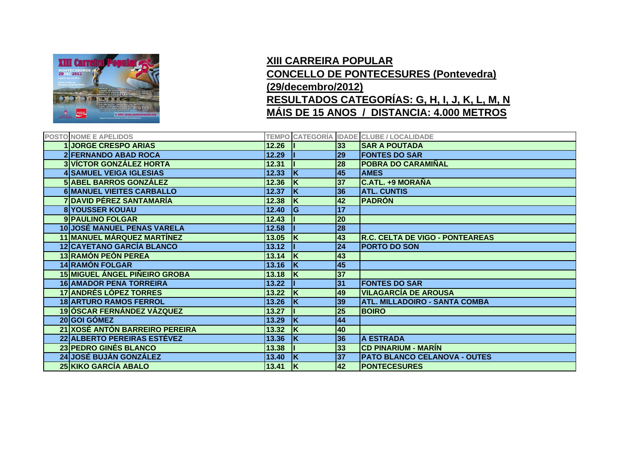

## **XIII CARREIRA POPULAR CONCELLO DE PONTECESURES (Pontevedra) (29/decembro/2012) RESULTADOS CATEGORÍAS: G, H, I, J, K, L, M, N MÁIS DE 15 ANOS / DISTANCIA: 4.000 METROS**

| POSTO NOME E APELIDOS                |       |    |    | <b>TEMPO CATEGORÍA IDADE CLUBE / LOCALIDADE</b> |
|--------------------------------------|-------|----|----|-------------------------------------------------|
| <b>1JORGE CRESPO ARIAS</b>           | 12.26 |    | 33 | <b>SAR A POUTADA</b>                            |
| <b>2 FERNANDO ABAD ROCA</b>          | 12.29 |    | 29 | <b>FONTES DO SAR</b>                            |
| <b>3 VÍCTOR GONZÁLEZ HORTA</b>       | 12.31 |    | 28 | <b>POBRA DO CARAMIÑAL</b>                       |
| <b>4 SAMUEL VEIGA IGLESIAS</b>       | 12.33 | ΙK | 45 | <b>AMES</b>                                     |
| <b>5 ABEL BARROS GONZÁLEZ</b>        | 12.36 |    | 37 | <b>C.ATL. +9 MORAÑA</b>                         |
| <b>6 MANUEL VIEITES CARBALLO</b>     | 12.37 | ΙK | 36 | <b>ATL. CUNTIS</b>                              |
| <b>7 DAVID PÉREZ SANTAMARÍA</b>      | 12.38 | ΙK | 42 | <b>PADRÓN</b>                                   |
| <b>8 YOUSSER KOUAU</b>               | 12.40 | lG | 17 |                                                 |
| 9 PAULINO FOLGAR                     | 12.43 |    | 20 |                                                 |
| <b>10 JOSÉ MANUEL PENAS VARELA</b>   | 12.58 |    | 28 |                                                 |
| <b>11 MANUEL MÁRQUEZ MARTÍNEZ</b>    | 13.05 | ΙK | 43 | <b>R.C. CELTA DE VIGO - PONTEAREAS</b>          |
| <b>12 CAYETANO GARCÍA BLANCO</b>     | 13.12 |    | 24 | <b>PORTO DO SON</b>                             |
| <b>13 RAMÓN PEÓN PEREA</b>           | 13.14 | ΙK | 43 |                                                 |
| <b>14 RAMÓN FOLGAR</b>               | 13.16 | ΙK | 45 |                                                 |
| <b>15 MIGUEL ÁNGEL PIÑEIRO GROBA</b> | 13.18 | ΙK | 37 |                                                 |
| <b>16 AMADOR PENA TORREIRA</b>       | 13.22 |    | 31 | <b>FONTES DO SAR</b>                            |
| <b>17 ANDRÉS LÓPEZ TORRES</b>        | 13.22 | ΙK | 49 | <b>VILAGARCÍA DE AROUSA</b>                     |
| <b>18 ARTURO RAMOS FERROL</b>        | 13.26 | ΙK | 39 | <b>ATL. MILLADOIRO - SANTA COMBA</b>            |
| <b>19 ÓSCAR FERNÁNDEZ VÁZQUEZ</b>    | 13.27 |    | 25 | <b>BOIRO</b>                                    |
| 20 GOI GÓMEZ                         | 13.29 | ΙK | 44 |                                                 |
| 21 XOSÉ ANTÓN BARREIRO PEREIRA       | 13.32 | ΙK | 40 |                                                 |
| 22 ALBERTO PEREIRAS ESTÉVEZ          | 13.36 | ١ĸ | 36 | <b>A ESTRADA</b>                                |
| 23 PEDRO GINÉS BLANCO                | 13.38 |    | 33 | <b>CD PINARIUM - MARÍN</b>                      |
| 24 JOSÉ BUJÁN GONZÁLEZ               | 13.40 | ΙK | 37 | <b>PATO BLANCO CELANOVA - OUTES</b>             |
| 25 KIKO GARCÍA ABALO                 | 13.41 | ΙK | 42 | <b>PONTECESURES</b>                             |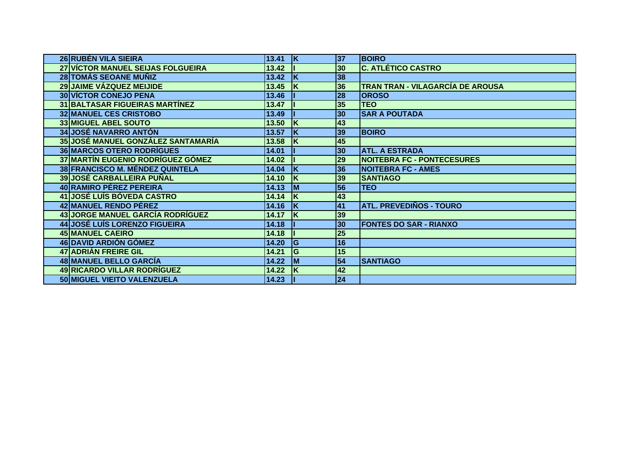| 26 RUBÉN VILA SIEIRA                      | 13.41 | <u> K</u> | 37              | <b>BOIRO</b>                      |
|-------------------------------------------|-------|-----------|-----------------|-----------------------------------|
| <b>27 VICTOR MANUEL SEIJAS FOLGUEIRA</b>  | 13.42 |           | 30              | <b>C. ATLÉTICO CASTRO</b>         |
| 28 TOMÁS SEOANE MUÑIZ                     | 13.42 | ΙK        | 38              |                                   |
| 29 JAIME VÁZQUEZ MEIJIDE                  | 13.45 | ΙK        | 36              | TRAN TRAN - VILAGARCÍA DE AROUSA  |
| <b>30 VÍCTOR CONEJO PENA</b>              | 13.46 |           | 28              | <b>OROSO</b>                      |
| <b>31 BALTASAR FIGUEIRAS MARTÍNEZ</b>     | 13.47 |           | 35              | <b>TEO</b>                        |
| <b>32 MANUEL CES CRISTOBO</b>             | 13.49 |           | 30              | <b>SAR A POUTADA</b>              |
| 33 MIGUEL ABEL SOUTO                      | 13.50 | ΙK        | 43              |                                   |
| <b>34 JOSÉ NAVARRO ANTÓN</b>              | 13.57 | ΙK        | 39              | <b>BOIRO</b>                      |
| <b>35 JOSÉ MANUEL GONZÁLEZ SANTAMARÍA</b> | 13.58 | ΙK        | 45              |                                   |
| <b>36 MARCOS OTERO RODRÍGUES</b>          | 14.01 |           | 30              | <b>ATL. A ESTRADA</b>             |
| 37 MARTÍN EUGENIO RODRÍGUEZ GÓMEZ         | 14.02 |           | 29              | <b>NOITEBRA FC - PONTECESURES</b> |
| <b>38 FRANCISCO M. MÉNDEZ QUINTELA</b>    | 14.04 | İΚ        | 36              | <b>NOITEBRA FC - AMES</b>         |
| <b>39 JOSÉ CARBALLEIRA PUÑAL</b>          | 14.10 | ΙK        | 39              | <b>SANTIAGO</b>                   |
| 40 RAMIRO PÉREZ PEREIRA                   | 14.13 | <b>IM</b> | 56              | <b>TEO</b>                        |
| <b>41 JOSÉ LUÍS BÓVEDA CASTRO</b>         | 14.14 | ΙK        | 43              |                                   |
| 42 MANUEL RENDO PÉREZ                     | 14.16 | ΙK        | 41              | <b>ATL. PREVEDIÑOS - TOURO</b>    |
| <b>43 JORGE MANUEL GARCÍA RODRÍGUEZ</b>   | 14.17 | ΙK        | 39              |                                   |
| 44 JOSÉ LUÍS LORENZO FIGUEIRA             | 14.18 |           | 30              | <b>FONTES DO SAR - RIANXO</b>     |
| <b>45 MANUEL CAEIRO</b>                   | 14.18 |           | $\overline{25}$ |                                   |
| 46 DAVID ARDIÓN GÓMEZ                     | 14.20 | lG        | 16              |                                   |
| 47 ADRIÁN FREIRE GIL                      | 14.21 | lG        | 15              |                                   |
| 48 MANUEL BELLO GARCÍA                    | 14.22 | Iм        | $\overline{54}$ | <b>SANTIAGO</b>                   |
| <b>49 RICARDO VILLAR RODRÍGUEZ</b>        | 14.22 | İΚ        | 42              |                                   |
| 50 MIGUEL VIEITO VALENZUELA               | 14.23 |           | $\overline{24}$ |                                   |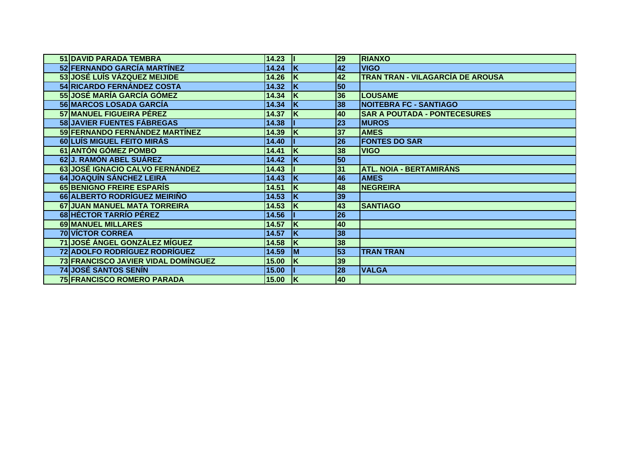| 51 DAVID PARADA TEMBRA               | 14.23 |           | 29              | <b>RIANXO</b>                       |
|--------------------------------------|-------|-----------|-----------------|-------------------------------------|
| 52 FERNANDO GARCÍA MARTÍNEZ          | 14.24 | ΙK        | 42              | <b>VIGO</b>                         |
| 53 JOSÉ LUÍS VÁZQUEZ MEIJIDE         | 14.26 | ΙK        | 42              | TRAN TRAN - VILAGARCÍA DE AROUSA    |
| 54 RICARDO FERNÁNDEZ COSTA           | 14.32 | ΙK        | 50              |                                     |
| <b>55 JOSÉ MARÍA GARCÍA GÓMEZ</b>    | 14.34 | ΙK        | 36              | <b>LOUSAME</b>                      |
| 56 MARCOS LOSADA GARCÍA              | 14.34 | ΙK        | 38              | <b>NOITEBRA FC - SANTIAGO</b>       |
| 57 MANUEL FIGUEIRA PÉREZ             | 14.37 | ΙK        | 40              | <b>SAR A POUTADA - PONTECESURES</b> |
| 58 JAVIER FUENTES FÁBREGAS           | 14.38 |           | 23              | <b>MUROS</b>                        |
| 59 FERNANDO FERNÁNDEZ MARTÍNEZ       | 14.39 | İΚ        | 37              | <b>AMES</b>                         |
| 60 LUÍS MIGUEL FEITO MIRÁS           | 14.40 |           | 26              | <b>FONTES DO SAR</b>                |
| 61 ANTÓN GÓMEZ POMBO                 | 14.41 | ΙK        | 38              | <b>VIGO</b>                         |
| 62J. RAMÓN ABEL SUÁREZ               | 14.42 | ΙK        | 50              |                                     |
| 63 JOSÉ IGNACIO CALVO FERNÁNDEZ      | 14.43 |           | 31              | <b>ATL. NOIA - BERTAMIRÁNS</b>      |
| 64 JOAQUÍN SÁNCHEZ LEIRA             | 14.43 | ΙK        | 46              | <b>AMES</b>                         |
| 65 BENIGNO FREIRE ESPARÍS            | 14.51 | ΙK        | 48              | <b>NEGREIRA</b>                     |
| 66 ALBERTO RODRÍGUEZ MEIRIÑO         | 14.53 | ΙK        | 39              |                                     |
| 67 JUAN MANUEL MATA TORREIRA         | 14.53 | ΙK        | 43              | <b>SANTIAGO</b>                     |
| 68 HÉCTOR TARRÍO PÉREZ               | 14.56 |           | 26              |                                     |
| 69 MANUEL MILLARES                   | 14.57 | ΙK        | 40              |                                     |
| <b>70 VÍCTOR CORREA</b>              | 14.57 | ΙK        | 38              |                                     |
| <b>71 JOSÉ ÁNGEL GONZÁLEZ MÍGUEZ</b> | 14.58 | ΙK        | 38              |                                     |
| <b>72 ADOLFO RODRÍGUEZ RODRÍGUEZ</b> | 14.59 | <b>IM</b> | 53              | <b>TRAN TRAN</b>                    |
| 73 FRANCISCO JAVIER VIDAL DOMÍNGUEZ  | 15.00 | ΙK        | 39              |                                     |
| <b>74 JOSÉ SANTOS SENÍN</b>          | 15.00 |           | $\overline{28}$ | <b>VALGA</b>                        |
| <b>75 FRANCISCO ROMERO PARADA</b>    | 15.00 | ΙK        | 40              |                                     |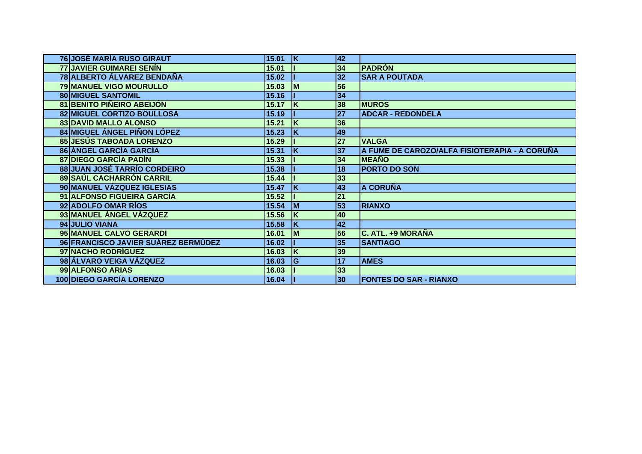| <b>76 JOSÉ MARÍA RUSO GIRAUT</b>    | 15.01 | ΙK        | 42              |                                               |
|-------------------------------------|-------|-----------|-----------------|-----------------------------------------------|
| <b>77 JAVIER GUIMAREI SENÍN</b>     | 15.01 |           | 34              | <b>PADRÓN</b>                                 |
| 78 ALBERTO ÁLVAREZ BENDAÑA          | 15.02 |           | 32              | <b>SAR A POUTADA</b>                          |
| 79 MANUEL VIGO MOURULLO             | 15.03 | <b>M</b>  | 56              |                                               |
| <b>80 MIGUEL SANTOMIL</b>           | 15.16 |           | 34              |                                               |
| 81 BENITO PIÑEIRO ABEIJÓN           | 15.17 | ΙK        | 38              | <b>MUROS</b>                                  |
| 82 MIGUEL CORTIZO BOULLOSA          | 15.19 |           | 27              | <b>ADCAR - REDONDELA</b>                      |
| 83 DAVID MALLO ALONSO               | 15.21 | İΚ        | 36              |                                               |
| 84 MIGUEL ÁNGEL PIÑON LÓPEZ         | 15.23 | ΙK        | 49              |                                               |
| <b>85 JESÚS TABOADA LORENZO</b>     | 15.29 |           | 27              | <b>VALGA</b>                                  |
| 86 ÁNGEL GARCÍA GARCÍA              | 15.31 | ΙK        | 37              | A FUME DE CAROZO/ALFA FISIOTERAPIA - A CORUÑA |
| <b>87 DIEGO GARCÍA PADÍN</b>        | 15.33 |           | 34              | <b>MEAÑO</b>                                  |
| <b>88 JUAN JOSÉ TARRÍO CORDEIRO</b> | 15.38 |           | 18              | <b>PORTO DO SON</b>                           |
| 89 SAÚL CACHARRÓN CARRIL            | 15.44 |           | 33              |                                               |
| 90 MANUEL VÁZQUEZ IGLESIAS          | 15.47 | ΙK        | 43              | <b>A CORUÑA</b>                               |
| 91 ALFONSO FIGUEIRA GARCÍA          | 15.52 |           | 21              |                                               |
| 92 ADOLFO OMAR RÍOS                 | 15.54 | <b>IM</b> | 53              | <b>RIANXO</b>                                 |
| 93 MANUEL ÁNGEL VÁZQUEZ             | 15.56 | ΙK        | 40              |                                               |
| 94 JULIO VIANA                      | 15.58 | ΙK        | 42              |                                               |
| 95 MANUEL CALVO GERARDI             | 16.01 | Iм        | 56              | C. ATL. +9 MORAÑA                             |
| 96 FRANCISCO JAVIER SUÁREZ BERMÚDEZ | 16.02 |           | 35              | <b>SANTIAGO</b>                               |
| 97 NACHO RODRÍGUEZ                  | 16.03 | ΙK        | 39              |                                               |
| 98 ÁLVARO VEIGA VÁZQUEZ             | 16.03 | lG        | $\overline{17}$ | <b>AMES</b>                                   |
| 99 ALFONSO ARIAS                    | 16.03 |           | 33              |                                               |
| <b>100 DIEGO GARCÍA LORENZO</b>     | 16.04 |           | 30              | <b>FONTES DO SAR - RIANXO</b>                 |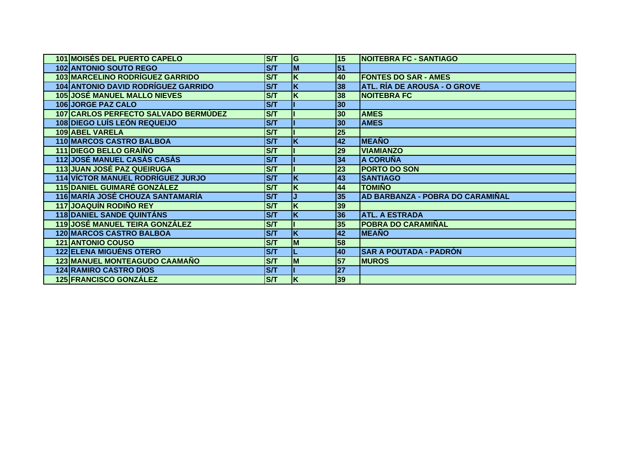| <b>101 MOISÉS DEL PUERTO CAPELO</b>      | <b>S/T</b> | ΙG                      | 15              | <b>NOITEBRA FC - SANTIAGO</b>       |
|------------------------------------------|------------|-------------------------|-----------------|-------------------------------------|
| <b>102 ANTONIO SOUTO REGO</b>            | <b>S/T</b> | M                       | 51              |                                     |
| 103 MARCELINO RODRÍGUEZ GARRIDO          | <b>S/T</b> | K                       | 40              | <b>FONTES DO SAR - AMES</b>         |
| 104 ANTONIO DAVID RODRÍGUEZ GARRIDO      | <b>S/T</b> | K                       | 38              | <b>ATL. RÍA DE AROUSA - O GROVE</b> |
| <b>105 JOSÉ MANUEL MALLO NIEVES</b>      | <b>S/T</b> | K                       | 38              | <b>NOITEBRA FC</b>                  |
| <b>106 JORGE PAZ CALO</b>                | <b>S/T</b> |                         | 30              |                                     |
| 107 CARLOS PERFECTO SALVADO BERMÚDEZ     | <b>S/T</b> |                         | 30              | <b>AMES</b>                         |
| <b>108 DIEGO LUÍS LEÓN REQUEIJO</b>      | <b>S/T</b> |                         | 30              | <b>AMES</b>                         |
| 109 ABEL VARELA                          | <b>S/T</b> |                         | 25              |                                     |
| <b>110 MARCOS CASTRO BALBOA</b>          | <b>S/T</b> | K                       | 42              | <b>MEAÑO</b>                        |
| 111 DIEGO BELLO GRAÍÑO                   | <b>S/T</b> |                         | 29              | <b>VIAMIANZO</b>                    |
| <b>112 JOSÉ MANUEL CASÁS CASÁS</b>       | <b>S/T</b> |                         | 34              | <b>A CORUÑA</b>                     |
| <b>113 JUAN JOSÉ PAZ QUEIRUGA</b>        | <b>S/T</b> |                         | 23              | <b>PORTO DO SON</b>                 |
| <b>114 VÍCTOR MANUEL RODRÍGUEZ JURJO</b> | <b>S/T</b> | K                       | 43              | <b>SANTIAGO</b>                     |
| <b>115 DANIEL GUIMARÉ GONZÁLEZ</b>       | ST         | K                       | 44              | <b>TOMIÑO</b>                       |
| 116 MARÍA JOSÉ CHOUZA SANTAMARÍA         | <b>S/T</b> |                         | 35              | AD BARBANZA - POBRA DO CARAMIÑAL    |
| 117 JOAQUÍN RODIÑO REY                   | <b>S/T</b> | K                       | 39              |                                     |
| <b>118 DANIEL SANDE QUINTÁNS</b>         | ST         | $\overline{\mathsf{K}}$ | 36              | <b>ATL. A ESTRADA</b>               |
| <b>119 JOSÉ MANUEL TEIRA GONZÁLEZ</b>    | <b>S/T</b> |                         | 35              | <b>POBRA DO CARAMIÑAL</b>           |
| <b>120 MARCOS CASTRO BALBOA</b>          | ST         | $\overline{\mathsf{x}}$ | 42              | <b>MEAÑO</b>                        |
| <b>121 ANTONIO COUSO</b>                 | <b>S/T</b> | M                       | 58              |                                     |
| 122 ELENA MIGUÉNS OTERO                  | <b>S/T</b> |                         | 40              | <b>SAR A POUTADA - PADRÓN</b>       |
| 123 MANUEL MONTEAGUDO CAAMAÑO            | <b>S/T</b> | M                       | 57              | <b>MUROS</b>                        |
| <b>124 RAMIRO CASTRO DIOS</b>            | ST         |                         | $\overline{27}$ |                                     |
| <b>125 FRANCISCO GONZÁLEZ</b>            | <b>S/T</b> | K                       | 39              |                                     |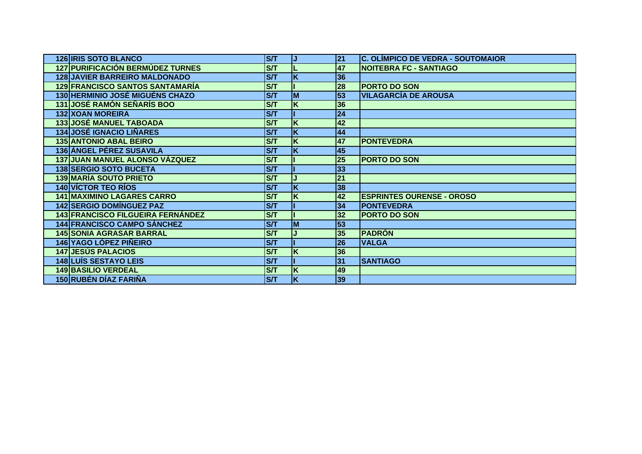| <b>126 IRIS SOTO BLANCO</b>              | <b>S/T</b>              | IJ          | 21 | <b>C. OLÍMPICO DE VEDRA - SOUTOMAIOR</b> |
|------------------------------------------|-------------------------|-------------|----|------------------------------------------|
| <b>127 PURIFICACIÓN BERMÚDEZ TURNES</b>  | ST                      |             | 47 | <b>NOITEBRA FC - SANTIAGO</b>            |
| <b>128 JAVIER BARREIRO MALDONADO</b>     | ST                      | K           | 36 |                                          |
| <b>129 FRANCISCO SANTOS SANTAMARÍA</b>   | ST                      |             | 28 | <b>PORTO DO SON</b>                      |
| <b>130 HERMINIO JOSÉ MIGUÉNS CHAZO</b>   | ST                      | lм          | 53 | <b>VILAGARCÍA DE AROUSA</b>              |
| <b>131 JOSÉ RAMÓN SEÑARÍS BOO</b>        | S/T                     | K           | 36 |                                          |
| <b>132 XOAN MOREIRA</b>                  | ST                      |             | 24 |                                          |
| <b>133 JOSÉ MANUEL TABOADA</b>           | S/T                     | K           | 42 |                                          |
| <b>134 JOSÉ IGNACIO LIÑARES</b>          | ST                      | $\mathsf K$ | 44 |                                          |
| <b>135 ANTONIO ABAL BEIRO</b>            | S/T                     | K           | 47 | <b>PONTEVEDRA</b>                        |
| 136 ÁNGEL PÉREZ SUSAVILA                 | <b>S/T</b>              | K           | 45 |                                          |
| 137 JUAN MANUEL ALONSO VÁZQUEZ           | <b>S/T</b>              |             | 25 | <b>PORTO DO SON</b>                      |
| <b>138 SERGIO SOTO BUCETA</b>            | S/T                     |             | 33 |                                          |
| <b>139 MARÍA SOUTO PRIETO</b>            | <b>S/T</b>              |             | 21 |                                          |
| <b>140 VÍCTOR TEO RÍOS</b>               | $\overline{\text{S}}$   | K           | 38 |                                          |
| <b>141 MAXIMINO LAGARES CARRO</b>        | S/T                     | K           | 42 | <b>ESPRINTES OURENSE - OROSO</b>         |
| <b>142 SERGIO DOMÍNGUEZ PAZ</b>          | ST                      |             | 34 | <b>PONTEVEDRA</b>                        |
| <b>143 FRANCISCO FILGUEIRA FERNÁNDEZ</b> | S/T                     |             | 32 | <b>PORTO DO SON</b>                      |
| <b>144 FRANCISCO CAMPO SÁNCHEZ</b>       | $\overline{\mathsf{S}}$ | lм          | 53 |                                          |
| <b>145 SONIA AGRASAR BARRAL</b>          | $\overline{\text{S}}$   |             | 35 | <b>PADRÓN</b>                            |
| 146 YAGO LÓPEZ PIÑEIRO                   | <b>S/T</b>              |             | 26 | <b>VALGA</b>                             |
| <b>147 JESÚS PALACIOS</b>                | ST                      | K           | 36 |                                          |
| <b>148 LUÍS SESTAYO LEIS</b>             | ST                      |             | 31 | <b>SANTIAGO</b>                          |
| <b>149 BASILIO VERDEAL</b>               | S/T                     | K           | 49 |                                          |
| <b>150 RUBÉN DÍAZ FARIÑA</b>             | <b>S/T</b>              | ΙK          | 39 |                                          |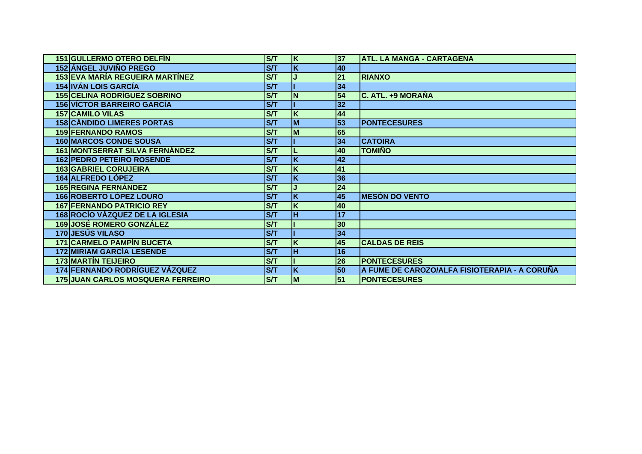| 151 GULLERMO OTERO DELFÍN                | <b>S/T</b> | ΙK                      | 37              | <b>ATL. LA MANGA - CARTAGENA</b>              |
|------------------------------------------|------------|-------------------------|-----------------|-----------------------------------------------|
| <b>152 ÁNGEL JUVIÑO PREGO</b>            | S/T        | K                       | 40              |                                               |
| 153 EVA MARÍA REGUEIRA MARTÍNEZ          | S/T        |                         | 21              | <b>RIANXO</b>                                 |
| <b>154 IVÁN LOIS GARCÍA</b>              | <b>S/T</b> |                         | 34              |                                               |
| <b>155 CELINA RODRÍGUEZ SOBRINO</b>      | <b>S/T</b> | N                       | 54              | <b>C. ATL. +9 MORAÑA</b>                      |
| <b>156 VÍCTOR BARREIRO GARCÍA</b>        | <b>S/T</b> |                         | 32              |                                               |
| <b>157 CAMILO VILAS</b>                  | S/T        | K                       | 44              |                                               |
| <b>158 CÁNDIDO LIMERES PORTAS</b>        | ST         | M                       | 53              | <b>PONTECESURES</b>                           |
| <b>159 FERNANDO RAMOS</b>                | <b>S/T</b> | M                       | 65              |                                               |
| <b>160 MARCOS CONDE SOUSA</b>            | <b>S/T</b> |                         | 34              | <b>CATOIRA</b>                                |
| 161 MONTSERRAT SILVA FERNÁNDEZ           | <b>S/T</b> |                         | 40              | <b>TOMIÑO</b>                                 |
| <b>162 PEDRO PETEIRO ROSENDE</b>         | S/T        | K                       | 42              |                                               |
| <b>163 GABRIEL CORUJEIRA</b>             | <b>S/T</b> | K                       | 41              |                                               |
| 164 ALFREDO LÓPEZ                        | ST         | K                       | 36              |                                               |
| <b>165 REGINA FERNÁNDEZ</b>              | ST         |                         | $\overline{24}$ |                                               |
| <b>166 ROBERTO LÓPEZ LOURO</b>           | <b>S/T</b> | K                       | 45              | <b>MESÓN DO VENTO</b>                         |
| <b>167 FERNANDO PATRICIO REY</b>         | S/T        | K                       | 40              |                                               |
| <b>168 ROCÍO VÁZQUEZ DE LA IGLESIA</b>   | ST         | H                       | 17              |                                               |
| <b>169 JOSÉ ROMERO GONZÁLEZ</b>          | <b>S/T</b> |                         | 30              |                                               |
| <b>170 JESÚS VILASO</b>                  | ST         |                         | 34              |                                               |
| <b>171 CARMELO PAMPÍN BUCETA</b>         | S/T        | K                       | 45              | <b>CALDAS DE REIS</b>                         |
| <b>172 MIRIAM GARCÍA LESENDE</b>         | <b>S/T</b> | lн                      | 16              |                                               |
| <b>173 MARTÍN TEIJEIRO</b>               | ST         |                         | 26              | <b>PONTECESURES</b>                           |
| 174 FERNANDO RODRÍGUEZ VÁZQUEZ           | S/T        | $\overline{\mathsf{K}}$ | 50              | A FUME DE CAROZO/ALFA FISIOTERAPIA - A CORUÑA |
| <b>175 JUAN CARLOS MOSQUERA FERREIRO</b> | <b>S/T</b> | <b>M</b>                | 51              | <b>PONTECESURES</b>                           |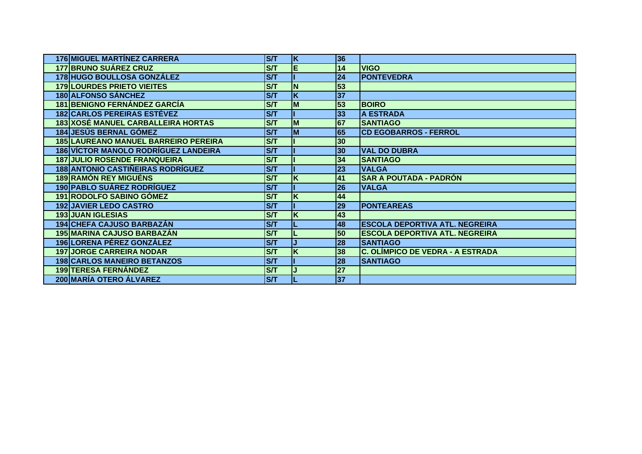| 176 MIGUEL MARTÍNEZ CARRERA                 | <b>S/T</b>            | ΙK       | 36              |                                       |
|---------------------------------------------|-----------------------|----------|-----------------|---------------------------------------|
| <b>177 BRUNO SUÁREZ CRUZ</b>                | <b>S/T</b>            | E        | 14              | <b>VIGO</b>                           |
| 178 HUGO BOULLOSA GONZÁLEZ                  | <b>S/T</b>            |          | 24              | <b>PONTEVEDRA</b>                     |
| <b>179 LOURDES PRIETO VIEITES</b>           | ST                    | N        | 53              |                                       |
| <b>180 ALFONSO SÁNCHEZ</b>                  | <b>S/T</b>            | K        | 37              |                                       |
| <b>181 BENIGNO FERNÁNDEZ GARCÍA</b>         | ST                    | <b>M</b> | 53              | <b>BOIRO</b>                          |
| <b>182 CARLOS PEREIRAS ESTÉVEZ</b>          | <b>S/T</b>            |          | 33              | <b>A ESTRADA</b>                      |
| <b>183 XOSÉ MANUEL CARBALLEIRA HORTAS</b>   | <b>S/T</b>            | <b>M</b> | $\overline{67}$ | <b>SANTIAGO</b>                       |
| <b>184 JESÚS BERNAL GÓMEZ</b>               | <b>S/T</b>            | M        | 65              | <b>CD EGOBARROS - FERROL</b>          |
| <b>185 LAUREANO MANUEL BARREIRO PEREIRA</b> | S/T                   |          | 30              |                                       |
| 186 VÍCTOR MANOLO RODRÍGUEZ LANDEIRA        | <b>S/T</b>            |          | 30              | <b>VAL DO DUBRA</b>                   |
| <b>187 JULIO ROSENDE FRANQUEIRA</b>         | <b>S/T</b>            |          | 34              | <b>SANTIAGO</b>                       |
| <b>188 ANTONIO CASTIÑEIRAS RODRÍGUEZ</b>    | <b>S/T</b>            |          | 23              | <b>VALGA</b>                          |
| <b>189 RAMÓN REY MIGUÉNS</b>                | $\overline{\text{S}}$ | K        | 41              | <b>SAR A POUTADA - PADRÓN</b>         |
| <b>190 PABLO SUÁREZ RODRÍGUEZ</b>           | <b>S/T</b>            |          | 26              | <b>VALGA</b>                          |
| <b>191 RODOLFO SABINO GÓMEZ</b>             | <b>S/T</b>            | K        | 44              |                                       |
| <b>192 JAVIER LEDO CASTRO</b>               | <b>S/T</b>            |          | 29              | <b>PONTEAREAS</b>                     |
| <b>193 JUAN IGLESIAS</b>                    | <b>S/T</b>            | K        | 43              |                                       |
| 194 CHEFA CAJUSO BARBAZÁN                   | <b>S/T</b>            |          | 48              | <b>ESCOLA DEPORTIVA ATL. NEGREIRA</b> |
| 195 MARINA CAJUSO BARBAZÁN                  | <b>S/T</b>            |          | 50              | <b>ESCOLA DEPORTIVA ATL. NEGREIRA</b> |
| 196 LORENA PÉREZ GONZÁLEZ                   | <b>S/T</b>            |          | 28              | <b>SANTIAGO</b>                       |
| <b>197 JORGE CARREIRA NODAR</b>             | S/T                   | K        | 38              | C. OLÍMPICO DE VEDRA - A ESTRADA      |
| <b>198 CARLOS MANEIRO BETANZOS</b>          | <b>S/T</b>            |          | 28              | <b>SANTIAGO</b>                       |
| <b>199 TERESA FERNÁNDEZ</b>                 | ST                    |          | $\overline{27}$ |                                       |
| 200 MARÍA OTERO ÁLVAREZ                     | S/T                   |          | 37              |                                       |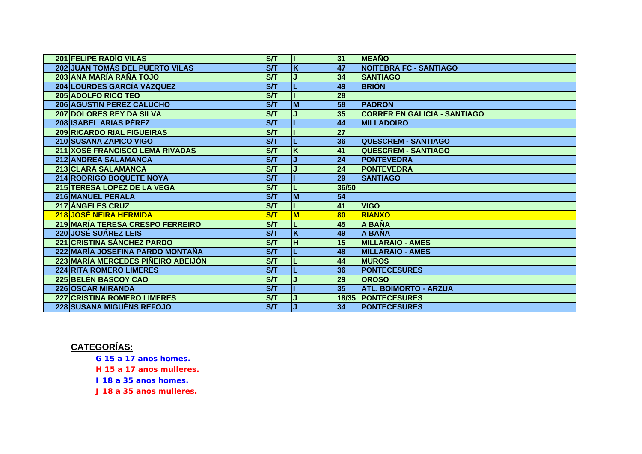| 201 FELIPE RADÍO VILAS                                          | <b>S/T</b>              |                         | 31              | <b>MEAÑO</b>                        |
|-----------------------------------------------------------------|-------------------------|-------------------------|-----------------|-------------------------------------|
| <b>202 JUAN TOMÁS DEL PUERTO VILAS</b>                          | ST                      | K                       | 47              | <b>NOITEBRA FC - SANTIAGO</b>       |
| 203 ANA MARÍA RAÑA TOJO                                         | S/T                     |                         | 34              | <b>SANTIAGO</b>                     |
| 204 LOURDES GARCÍA VÁZQUEZ                                      | <b>S/T</b>              |                         | 49              | <b>BRIÓN</b>                        |
| <b>205 ADOLFO RICO TEO</b>                                      | <b>S/T</b>              |                         | 28              |                                     |
| <b>206 AGUSTÍN PÉREZ CALUCHO</b>                                | $\overline{\mathsf{S}}$ | M                       | 58              | <b>IPADRÓN</b>                      |
| 207 DOLORES REY DA SILVA                                        | <b>S/T</b>              |                         | 35              | <b>CORRER EN GALICIA - SANTIAGO</b> |
| 208 ISABEL ARIAS PÉREZ                                          | ST                      |                         | 44              | <b>MILLADOIRO</b>                   |
| 209 RICARDO RIAL FIGUEIRAS                                      | S/T                     |                         | 27              |                                     |
| 210 SUSANA ZAPICO VIGO                                          | <b>S/T</b>              |                         | 36              | <b>QUESCREM - SANTIAGO</b>          |
| 211 XOSÉ FRANCISCO LEMA RIVADAS                                 | <b>S/T</b>              | K                       | 41              | <b>QUESCREM - SANTIAGO</b>          |
| 212 ANDREA SALAMANCA                                            | ST                      |                         | $\overline{24}$ | <b>PONTEVEDRA</b>                   |
| 213 CLARA SALAMANCA                                             | <b>S/T</b>              |                         | 24              | <b>PONTEVEDRA</b>                   |
| <b>214 RODRIGO BOQUETE NOYA</b>                                 | ST                      |                         | 29              | <b>SANTIAGO</b>                     |
| 215 TERESA LÓPEZ DE LA VEGA                                     | <b>S/T</b>              |                         | 36/50           |                                     |
| 216 MANUEL PERALA                                               | S/T                     | M                       | 54              |                                     |
|                                                                 | <b>S/T</b>              |                         | 41              | <b>VIGO</b>                         |
| <b>217 ÁNGELES CRUZ</b>                                         |                         |                         |                 |                                     |
| <b>218 JOSÉ NEIRA HERMIDA</b>                                   | S/T                     | M                       | 80              | <b>RIANXO</b>                       |
| 219 MARÍA TERESA CRESPO FERREIRO                                | <b>S/T</b>              |                         | 45              | A BAÑA                              |
| <b>220 JOSÉ SUÁREZ LEIS</b>                                     | $\overline{\mathsf{S}}$ | $\overline{\mathsf{K}}$ | 49              | <b>A BAÑA</b>                       |
| <b>221 CRISTINA SÁNCHEZ PARDO</b>                               | <b>S/T</b>              | H                       | 15              | <b>MILLARAIO - AMES</b>             |
| 222 MARÍA JOSEFINA PARDO MONTAÑA                                | <b>S/T</b>              |                         | 48              | <b>MILLARAIO - AMES</b>             |
| 223 MARÍA MERCEDES PIÑEIRO ABEIJÓN                              | ST                      |                         | 44              | <b>MUROS</b>                        |
| <b>224 RITA ROMERO LIMERES</b>                                  | ST                      |                         | 36              | <b>IPONTECESURES</b>                |
| 225 BELÉN BASCOY CAO                                            | <b>S/T</b>              |                         | 29              | <b>OROSO</b>                        |
| 226 ÓSCAR MIRANDA                                               | ST                      |                         | 35              | ATL. BOIMORTO - ARZÚA               |
| 227 CRISTINA ROMERO LIMERES<br><b>228 SUSANA MIGUÉNS REFOJO</b> | <b>S/T</b>              |                         |                 | <b>18/35 PONTECESURES</b>           |

## **CATEGORÍAS:**

*G 15 a 17 anos homes.*

*H 15 a 17 anos mulleres.*

*I 18 a 35 anos homes.*

*J 18 a 35 anos mulleres.*